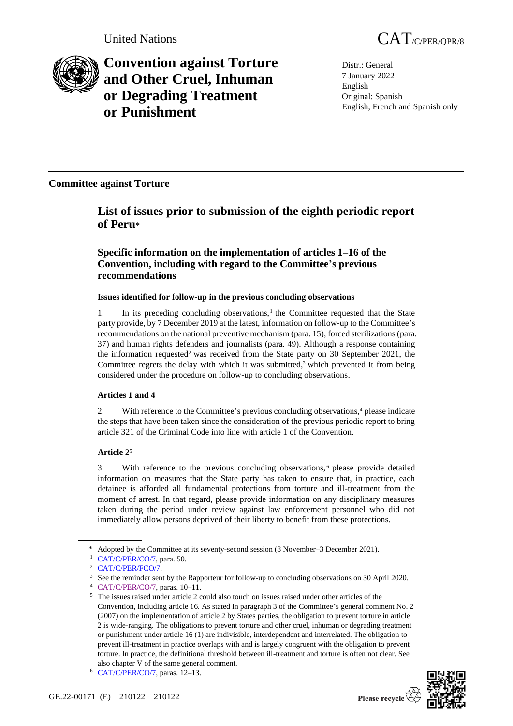

# **Convention against Torture and Other Cruel, Inhuman or Degrading Treatment or Punishment**

Distr.: General 7 January 2022 English Original: Spanish English, French and Spanish only

**Committee against Torture**

# **List of issues prior to submission of the eighth periodic report of Peru**\*

# **Specific information on the implementation of articles 1–16 of the Convention, including with regard to the Committee's previous recommendations**

# **Issues identified for follow-up in the previous concluding observations**

1. In its preceding concluding observations, $1$  the Committee requested that the State party provide, by 7 December 2019 at the latest, information on follow-up to the Committee's recommendations on the national preventive mechanism (para. 15), forced sterilizations (para. 37) and human rights defenders and journalists (para. 49). Although a response containing the information requested<sup>2</sup> was received from the State party on 30 September 2021, the Committee regrets the delay with which it was submitted, $3$  which prevented it from being considered under the procedure on follow-up to concluding observations.

# **Articles 1 and 4**

2. With reference to the Committee's previous concluding observations, $4$  please indicate the steps that have been taken since the consideration of the previous periodic report to bring article 321 of the Criminal Code into line with article 1 of the Convention.

# **Article 2**<sup>5</sup>

3. With reference to the previous concluding observations, <sup>6</sup> please provide detailed information on measures that the State party has taken to ensure that, in practice, each detainee is afforded all fundamental protections from torture and ill-treatment from the moment of arrest. In that regard, please provide information on any disciplinary measures taken during the period under review against law enforcement personnel who did not immediately allow persons deprived of their liberty to benefit from these protections.

<sup>\*</sup> Adopted by the Committee at its seventy-second session (8 November–3 December 2021).

<sup>1</sup> [CAT/C/PER/CO/7,](http://undocs.org/en/CAT/C/PER/CO/7) para. 50.

<sup>2</sup> [CAT/C/PER/FCO/7.](http://undocs.org/en/CAT/C/PER/FCO/7)

<sup>&</sup>lt;sup>3</sup> See the reminder sent by the Rapporteur for follow-up to concluding observations on 30 April 2020.

<sup>4</sup> [CAT/C/PER/CO/7,](http://undocs.org/en/CAT/C/PER/CO/7) paras. 10–11.

<sup>5</sup> The issues raised under article 2 could also touch on issues raised under other articles of the Convention, including article 16. As stated in paragraph 3 of the Committee's general comment No. 2 (2007) on the implementation of article 2 by States parties, the obligation to prevent torture in article 2 is wide-ranging. The obligations to prevent torture and other cruel, inhuman or degrading treatment or punishment under article 16 (1) are indivisible, interdependent and interrelated. The obligation to prevent ill-treatment in practice overlaps with and is largely congruent with the obligation to prevent torture. In practice, the definitional threshold between ill-treatment and torture is often not clear. See also chapter V of the same general comment.

<sup>6</sup> [CAT/C/PER/CO/7,](http://undocs.org/en/CAT/C/PER/CO/7) paras. 12–13.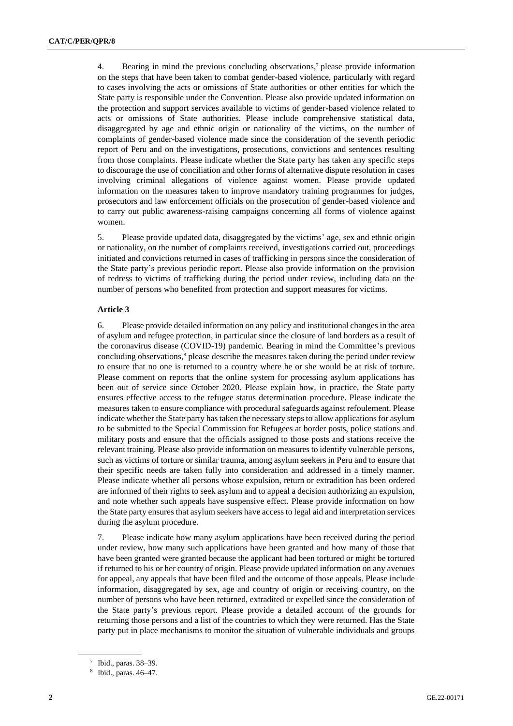4. Bearing in mind the previous concluding observations,<sup>7</sup> please provide information on the steps that have been taken to combat gender-based violence, particularly with regard to cases involving the acts or omissions of State authorities or other entities for which the State party is responsible under the Convention. Please also provide updated information on the protection and support services available to victims of gender-based violence related to acts or omissions of State authorities. Please include comprehensive statistical data, disaggregated by age and ethnic origin or nationality of the victims, on the number of complaints of gender-based violence made since the consideration of the seventh periodic report of Peru and on the investigations, prosecutions, convictions and sentences resulting from those complaints. Please indicate whether the State party has taken any specific steps to discourage the use of conciliation and other forms of alternative dispute resolution in cases involving criminal allegations of violence against women. Please provide updated information on the measures taken to improve mandatory training programmes for judges, prosecutors and law enforcement officials on the prosecution of gender-based violence and to carry out public awareness-raising campaigns concerning all forms of violence against women.

5. Please provide updated data, disaggregated by the victims' age, sex and ethnic origin or nationality, on the number of complaints received, investigations carried out, proceedings initiated and convictions returned in cases of trafficking in persons since the consideration of the State party's previous periodic report. Please also provide information on the provision of redress to victims of trafficking during the period under review, including data on the number of persons who benefited from protection and support measures for victims.

#### **Article 3**

6. Please provide detailed information on any policy and institutional changes in the area of asylum and refugee protection, in particular since the closure of land borders as a result of the coronavirus disease (COVID-19) pandemic. Bearing in mind the Committee's previous concluding observations,<sup>8</sup> please describe the measures taken during the period under review to ensure that no one is returned to a country where he or she would be at risk of torture. Please comment on reports that the online system for processing asylum applications has been out of service since October 2020. Please explain how, in practice, the State party ensures effective access to the refugee status determination procedure. Please indicate the measures taken to ensure compliance with procedural safeguards against refoulement. Please indicate whether the State party has taken the necessary steps to allow applications for asylum to be submitted to the Special Commission for Refugees at border posts, police stations and military posts and ensure that the officials assigned to those posts and stations receive the relevant training. Please also provide information on measures to identify vulnerable persons, such as victims of torture or similar trauma, among asylum seekers in Peru and to ensure that their specific needs are taken fully into consideration and addressed in a timely manner. Please indicate whether all persons whose expulsion, return or extradition has been ordered are informed of their rights to seek asylum and to appeal a decision authorizing an expulsion, and note whether such appeals have suspensive effect. Please provide information on how the State party ensures that asylum seekers have access to legal aid and interpretation services during the asylum procedure.

7. Please indicate how many asylum applications have been received during the period under review, how many such applications have been granted and how many of those that have been granted were granted because the applicant had been tortured or might be tortured if returned to his or her country of origin. Please provide updated information on any avenues for appeal, any appeals that have been filed and the outcome of those appeals. Please include information, disaggregated by sex, age and country of origin or receiving country, on the number of persons who have been returned, extradited or expelled since the consideration of the State party's previous report. Please provide a detailed account of the grounds for returning those persons and a list of the countries to which they were returned. Has the State party put in place mechanisms to monitor the situation of vulnerable individuals and groups

<sup>7</sup> Ibid., paras. 38–39.

<sup>8</sup> Ibid., paras. 46–47.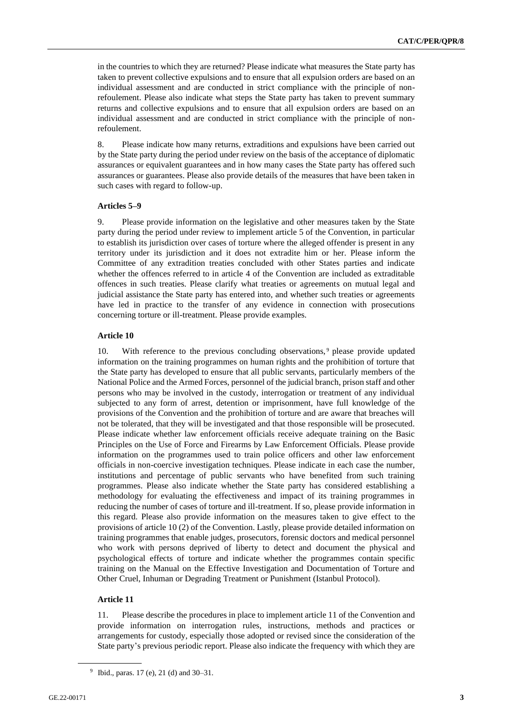in the countries to which they are returned? Please indicate what measures the State party has taken to prevent collective expulsions and to ensure that all expulsion orders are based on an individual assessment and are conducted in strict compliance with the principle of nonrefoulement. Please also indicate what steps the State party has taken to prevent summary returns and collective expulsions and to ensure that all expulsion orders are based on an individual assessment and are conducted in strict compliance with the principle of nonrefoulement.

8. Please indicate how many returns, extraditions and expulsions have been carried out by the State party during the period under review on the basis of the acceptance of diplomatic assurances or equivalent guarantees and in how many cases the State party has offered such assurances or guarantees. Please also provide details of the measures that have been taken in such cases with regard to follow-up.

#### **Articles 5–9**

9. Please provide information on the legislative and other measures taken by the State party during the period under review to implement article 5 of the Convention, in particular to establish its jurisdiction over cases of torture where the alleged offender is present in any territory under its jurisdiction and it does not extradite him or her. Please inform the Committee of any extradition treaties concluded with other States parties and indicate whether the offences referred to in article 4 of the Convention are included as extraditable offences in such treaties. Please clarify what treaties or agreements on mutual legal and judicial assistance the State party has entered into, and whether such treaties or agreements have led in practice to the transfer of any evidence in connection with prosecutions concerning torture or ill-treatment. Please provide examples.

## **Article 10**

10. With reference to the previous concluding observations,<sup>9</sup> please provide updated information on the training programmes on human rights and the prohibition of torture that the State party has developed to ensure that all public servants, particularly members of the National Police and the Armed Forces, personnel of the judicial branch, prison staff and other persons who may be involved in the custody, interrogation or treatment of any individual subjected to any form of arrest, detention or imprisonment, have full knowledge of the provisions of the Convention and the prohibition of torture and are aware that breaches will not be tolerated, that they will be investigated and that those responsible will be prosecuted. Please indicate whether law enforcement officials receive adequate training on the Basic Principles on the Use of Force and Firearms by Law Enforcement Officials. Please provide information on the programmes used to train police officers and other law enforcement officials in non-coercive investigation techniques. Please indicate in each case the number, institutions and percentage of public servants who have benefited from such training programmes. Please also indicate whether the State party has considered establishing a methodology for evaluating the effectiveness and impact of its training programmes in reducing the number of cases of torture and ill-treatment. If so, please provide information in this regard. Please also provide information on the measures taken to give effect to the provisions of article 10 (2) of the Convention. Lastly, please provide detailed information on training programmes that enable judges, prosecutors, forensic doctors and medical personnel who work with persons deprived of liberty to detect and document the physical and psychological effects of torture and indicate whether the programmes contain specific training on the Manual on the Effective Investigation and Documentation of Torture and Other Cruel, Inhuman or Degrading Treatment or Punishment (Istanbul Protocol).

#### **Article 11**

11. Please describe the procedures in place to implement article 11 of the Convention and provide information on interrogation rules, instructions, methods and practices or arrangements for custody, especially those adopted or revised since the consideration of the State party's previous periodic report. Please also indicate the frequency with which they are

<sup>9</sup> Ibid., paras. 17 (e), 21 (d) and 30–31.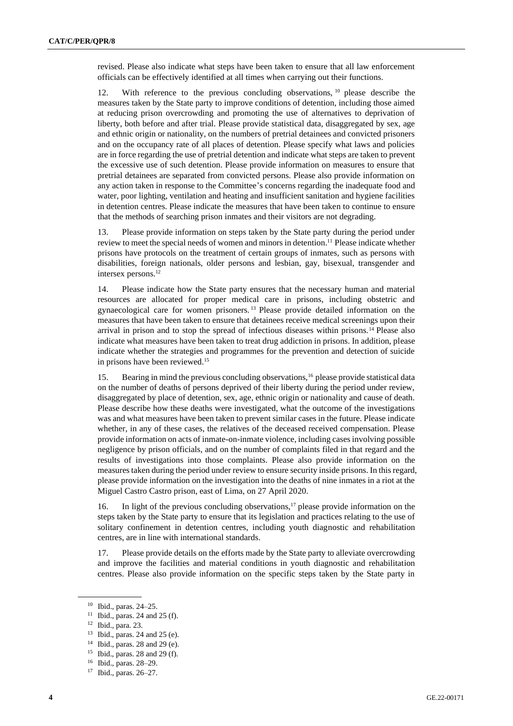revised. Please also indicate what steps have been taken to ensure that all law enforcement officials can be effectively identified at all times when carrying out their functions.

12. With reference to the previous concluding observations, <sup>10</sup> please describe the measures taken by the State party to improve conditions of detention, including those aimed at reducing prison overcrowding and promoting the use of alternatives to deprivation of liberty, both before and after trial. Please provide statistical data, disaggregated by sex, age and ethnic origin or nationality, on the numbers of pretrial detainees and convicted prisoners and on the occupancy rate of all places of detention. Please specify what laws and policies are in force regarding the use of pretrial detention and indicate what steps are taken to prevent the excessive use of such detention. Please provide information on measures to ensure that pretrial detainees are separated from convicted persons. Please also provide information on any action taken in response to the Committee's concerns regarding the inadequate food and water, poor lighting, ventilation and heating and insufficient sanitation and hygiene facilities in detention centres. Please indicate the measures that have been taken to continue to ensure that the methods of searching prison inmates and their visitors are not degrading.

13. Please provide information on steps taken by the State party during the period under review to meet the special needs of women and minors in detention.<sup>11</sup> Please indicate whether prisons have protocols on the treatment of certain groups of inmates, such as persons with disabilities, foreign nationals, older persons and lesbian, gay, bisexual, transgender and intersex persons.<sup>12</sup>

14. Please indicate how the State party ensures that the necessary human and material resources are allocated for proper medical care in prisons, including obstetric and gynaecological care for women prisoners. <sup>13</sup> Please provide detailed information on the measures that have been taken to ensure that detainees receive medical screenings upon their arrival in prison and to stop the spread of infectious diseases within prisons.<sup>14</sup> Please also indicate what measures have been taken to treat drug addiction in prisons. In addition, please indicate whether the strategies and programmes for the prevention and detection of suicide in prisons have been reviewed.<sup>15</sup>

15. Bearing in mind the previous concluding observations,<sup>16</sup> please provide statistical data on the number of deaths of persons deprived of their liberty during the period under review, disaggregated by place of detention, sex, age, ethnic origin or nationality and cause of death. Please describe how these deaths were investigated, what the outcome of the investigations was and what measures have been taken to prevent similar cases in the future. Please indicate whether, in any of these cases, the relatives of the deceased received compensation. Please provide information on acts of inmate-on-inmate violence, including cases involving possible negligence by prison officials, and on the number of complaints filed in that regard and the results of investigations into those complaints. Please also provide information on the measures taken during the period under review to ensure security inside prisons. In this regard, please provide information on the investigation into the deaths of nine inmates in a riot at the Miguel Castro Castro prison, east of Lima, on 27 April 2020.

16. In light of the previous concluding observations,<sup>17</sup> please provide information on the steps taken by the State party to ensure that its legislation and practices relating to the use of solitary confinement in detention centres, including youth diagnostic and rehabilitation centres, are in line with international standards.

17. Please provide details on the efforts made by the State party to alleviate overcrowding and improve the facilities and material conditions in youth diagnostic and rehabilitation centres. Please also provide information on the specific steps taken by the State party in

<sup>10</sup> Ibid., paras. 24–25.

 $11$  Ibid., paras. 24 and 25 (f).

<sup>12</sup> Ibid., para. 23.

<sup>13</sup> Ibid., paras. 24 and 25 (e).

<sup>14</sup> Ibid., paras. 28 and 29 (e).

<sup>&</sup>lt;sup>15</sup> Ibid., paras. 28 and 29 (f).

<sup>16</sup> Ibid., paras. 28–29.

<sup>17</sup> Ibid., paras. 26–27.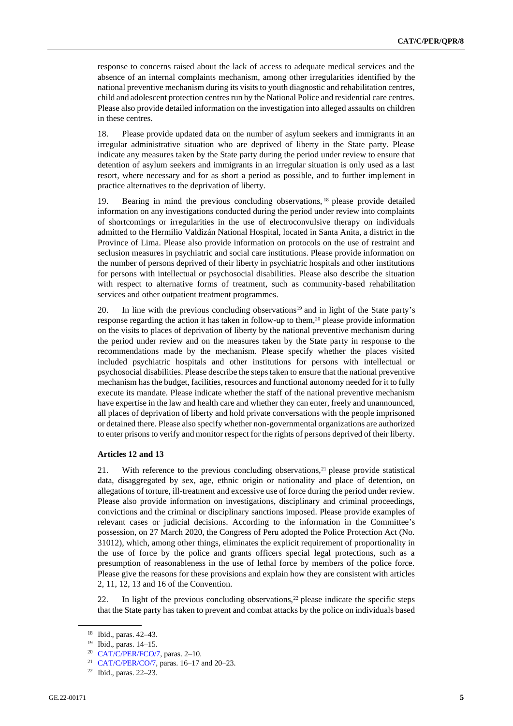response to concerns raised about the lack of access to adequate medical services and the absence of an internal complaints mechanism, among other irregularities identified by the national preventive mechanism during its visits to youth diagnostic and rehabilitation centres, child and adolescent protection centres run by the National Police and residential care centres. Please also provide detailed information on the investigation into alleged assaults on children in these centres.

18. Please provide updated data on the number of asylum seekers and immigrants in an irregular administrative situation who are deprived of liberty in the State party. Please indicate any measures taken by the State party during the period under review to ensure that detention of asylum seekers and immigrants in an irregular situation is only used as a last resort, where necessary and for as short a period as possible, and to further implement in practice alternatives to the deprivation of liberty.

19. Bearing in mind the previous concluding observations, <sup>18</sup> please provide detailed information on any investigations conducted during the period under review into complaints of shortcomings or irregularities in the use of electroconvulsive therapy on individuals admitted to the Hermilio Valdizán National Hospital, located in Santa Anita, a district in the Province of Lima. Please also provide information on protocols on the use of restraint and seclusion measures in psychiatric and social care institutions. Please provide information on the number of persons deprived of their liberty in psychiatric hospitals and other institutions for persons with intellectual or psychosocial disabilities. Please also describe the situation with respect to alternative forms of treatment, such as community-based rehabilitation services and other outpatient treatment programmes.

20. In line with the previous concluding observations<sup>19</sup> and in light of the State party's response regarding the action it has taken in follow-up to them,<sup>20</sup> please provide information on the visits to places of deprivation of liberty by the national preventive mechanism during the period under review and on the measures taken by the State party in response to the recommendations made by the mechanism. Please specify whether the places visited included psychiatric hospitals and other institutions for persons with intellectual or psychosocial disabilities. Please describe the steps taken to ensure that the national preventive mechanism has the budget, facilities, resources and functional autonomy needed for it to fully execute its mandate. Please indicate whether the staff of the national preventive mechanism have expertise in the law and health care and whether they can enter, freely and unannounced, all places of deprivation of liberty and hold private conversations with the people imprisoned or detained there. Please also specify whether non-governmental organizations are authorized to enter prisons to verify and monitor respect for the rights of persons deprived of their liberty.

#### **Articles 12 and 13**

21. With reference to the previous concluding observations,<sup>21</sup> please provide statistical data, disaggregated by sex, age, ethnic origin or nationality and place of detention, on allegations of torture, ill-treatment and excessive use of force during the period under review. Please also provide information on investigations, disciplinary and criminal proceedings, convictions and the criminal or disciplinary sanctions imposed. Please provide examples of relevant cases or judicial decisions. According to the information in the Committee's possession, on 27 March 2020, the Congress of Peru adopted the Police Protection Act (No. 31012), which, among other things, eliminates the explicit requirement of proportionality in the use of force by the police and grants officers special legal protections, such as a presumption of reasonableness in the use of lethal force by members of the police force. Please give the reasons for these provisions and explain how they are consistent with articles 2, 11, 12, 13 and 16 of the Convention.

22. In light of the previous concluding observations,  $2<sup>2</sup>$  please indicate the specific steps that the State party has taken to prevent and combat attacks by the police on individuals based

<sup>18</sup> Ibid., paras. 42–43.

<sup>19</sup> Ibid., paras. 14–15.

<sup>20</sup> [CAT/C/PER/FCO/7,](http://undocs.org/en/CAT/C/PER/FCO/7) paras. 2–10.

<sup>21</sup> [CAT/C/PER/CO/7,](http://undocs.org/en/CAT/C/PER/CO/7) paras. 16–17 and 20–23.

<sup>22</sup> Ibid., paras. 22–23.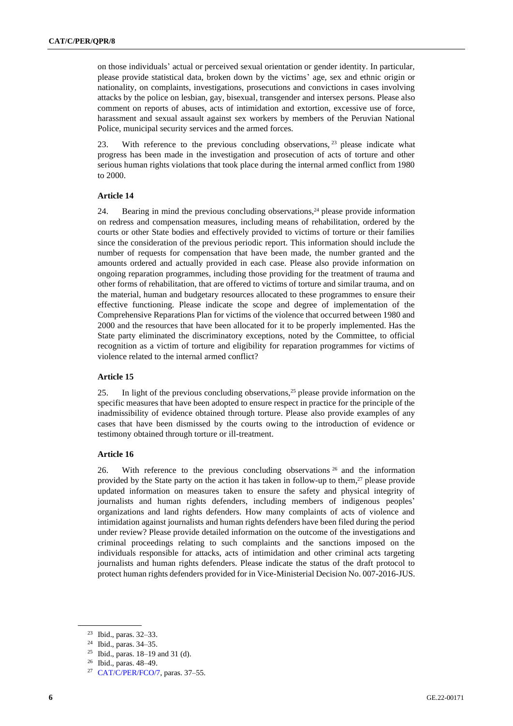on those individuals' actual or perceived sexual orientation or gender identity. In particular, please provide statistical data, broken down by the victims' age, sex and ethnic origin or nationality, on complaints, investigations, prosecutions and convictions in cases involving attacks by the police on lesbian, gay, bisexual, transgender and intersex persons. Please also comment on reports of abuses, acts of intimidation and extortion, excessive use of force, harassment and sexual assault against sex workers by members of the Peruvian National Police, municipal security services and the armed forces.

23. With reference to the previous concluding observations, <sup>23</sup> please indicate what progress has been made in the investigation and prosecution of acts of torture and other serious human rights violations that took place during the internal armed conflict from 1980 to 2000.

#### **Article 14**

24. Bearing in mind the previous concluding observations,<sup>24</sup> please provide information on redress and compensation measures, including means of rehabilitation, ordered by the courts or other State bodies and effectively provided to victims of torture or their families since the consideration of the previous periodic report. This information should include the number of requests for compensation that have been made, the number granted and the amounts ordered and actually provided in each case. Please also provide information on ongoing reparation programmes, including those providing for the treatment of trauma and other forms of rehabilitation, that are offered to victims of torture and similar trauma, and on the material, human and budgetary resources allocated to these programmes to ensure their effective functioning. Please indicate the scope and degree of implementation of the Comprehensive Reparations Plan for victims of the violence that occurred between 1980 and 2000 and the resources that have been allocated for it to be properly implemented. Has the State party eliminated the discriminatory exceptions, noted by the Committee, to official recognition as a victim of torture and eligibility for reparation programmes for victims of violence related to the internal armed conflict?

### **Article 15**

25. In light of the previous concluding observations,<sup>25</sup> please provide information on the specific measures that have been adopted to ensure respect in practice for the principle of the inadmissibility of evidence obtained through torture. Please also provide examples of any cases that have been dismissed by the courts owing to the introduction of evidence or testimony obtained through torture or ill-treatment.

#### **Article 16**

26. With reference to the previous concluding observations  $26$  and the information provided by the State party on the action it has taken in follow-up to them, <sup>27</sup> please provide updated information on measures taken to ensure the safety and physical integrity of journalists and human rights defenders, including members of indigenous peoples' organizations and land rights defenders. How many complaints of acts of violence and intimidation against journalists and human rights defenders have been filed during the period under review? Please provide detailed information on the outcome of the investigations and criminal proceedings relating to such complaints and the sanctions imposed on the individuals responsible for attacks, acts of intimidation and other criminal acts targeting journalists and human rights defenders. Please indicate the status of the draft protocol to protect human rights defenders provided for in Vice-Ministerial Decision No. 007-2016-JUS.

<sup>23</sup> Ibid., paras. 32–33.

<sup>24</sup> Ibid., paras. 34–35.

<sup>&</sup>lt;sup>25</sup> Ibid., paras.  $18-19$  and 31 (d).

<sup>26</sup> Ibid., paras. 48–49.

<sup>27</sup> [CAT/C/PER/FCO/7,](http://undocs.org/en/CAT/C/PER/FCO/7) paras. 37–55.